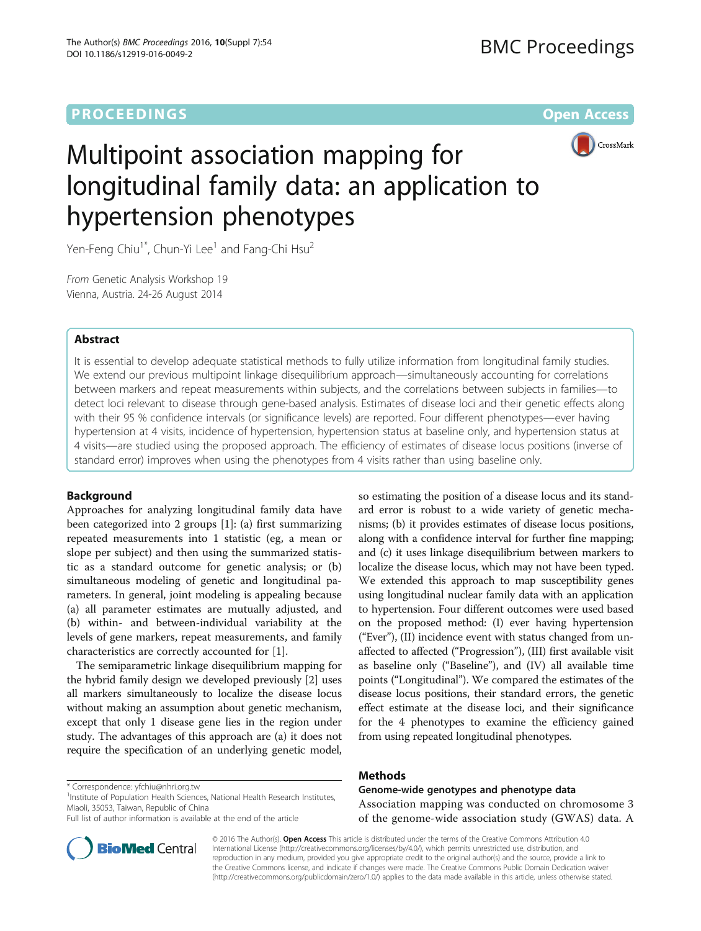## **PROCEEDINGS STATE ACCESS CONSUMING S** Open Access



# Multipoint association mapping for longitudinal family data: an application to hypertension phenotypes

Yen-Feng Chiu<sup>1\*</sup>, Chun-Yi Lee<sup>1</sup> and Fang-Chi Hsu<sup>2</sup>

From Genetic Analysis Workshop 19 Vienna, Austria. 24-26 August 2014

## Abstract

It is essential to develop adequate statistical methods to fully utilize information from longitudinal family studies. We extend our previous multipoint linkage disequilibrium approach—simultaneously accounting for correlations between markers and repeat measurements within subjects, and the correlations between subjects in families—to detect loci relevant to disease through gene-based analysis. Estimates of disease loci and their genetic effects along with their 95 % confidence intervals (or significance levels) are reported. Four different phenotypes—ever having hypertension at 4 visits, incidence of hypertension, hypertension status at baseline only, and hypertension status at 4 visits—are studied using the proposed approach. The efficiency of estimates of disease locus positions (inverse of standard error) improves when using the phenotypes from 4 visits rather than using baseline only.

## Background

Approaches for analyzing longitudinal family data have been categorized into 2 groups [[1\]](#page-5-0): (a) first summarizing repeated measurements into 1 statistic (eg, a mean or slope per subject) and then using the summarized statistic as a standard outcome for genetic analysis; or (b) simultaneous modeling of genetic and longitudinal parameters. In general, joint modeling is appealing because (a) all parameter estimates are mutually adjusted, and (b) within- and between-individual variability at the levels of gene markers, repeat measurements, and family characteristics are correctly accounted for [[1\]](#page-5-0).

The semiparametric linkage disequilibrium mapping for the hybrid family design we developed previously [\[2](#page-5-0)] uses all markers simultaneously to localize the disease locus without making an assumption about genetic mechanism, except that only 1 disease gene lies in the region under study. The advantages of this approach are (a) it does not require the specification of an underlying genetic model,

\* Correspondence: [yfchiu@nhri.org.tw](mailto:yfchiu@nhri.org.tw) <sup>1</sup>

<sup>1</sup> Institute of Population Health Sciences, National Health Research Institutes, Miaoli, 35053, Taiwan, Republic of China

Full list of author information is available at the end of the article

so estimating the position of a disease locus and its standard error is robust to a wide variety of genetic mechanisms; (b) it provides estimates of disease locus positions, along with a confidence interval for further fine mapping; and (c) it uses linkage disequilibrium between markers to localize the disease locus, which may not have been typed. We extended this approach to map susceptibility genes using longitudinal nuclear family data with an application to hypertension. Four different outcomes were used based on the proposed method: (I) ever having hypertension ("Ever"), (II) incidence event with status changed from unaffected to affected ("Progression"), (III) first available visit as baseline only ("Baseline"), and (IV) all available time points ("Longitudinal"). We compared the estimates of the disease locus positions, their standard errors, the genetic effect estimate at the disease loci, and their significance for the 4 phenotypes to examine the efficiency gained from using repeated longitudinal phenotypes.

## Methods

Genome-wide genotypes and phenotype data Association mapping was conducted on chromosome 3 of the genome-wide association study (GWAS) data. A



© 2016 The Author(s). Open Access This article is distributed under the terms of the Creative Commons Attribution 4.0 International License [\(http://creativecommons.org/licenses/by/4.0/](http://creativecommons.org/licenses/by/4.0/)), which permits unrestricted use, distribution, and reproduction in any medium, provided you give appropriate credit to the original author(s) and the source, provide a link to the Creative Commons license, and indicate if changes were made. The Creative Commons Public Domain Dedication waiver [\(http://creativecommons.org/publicdomain/zero/1.0/](http://creativecommons.org/publicdomain/zero/1.0/)) applies to the data made available in this article, unless otherwise stated.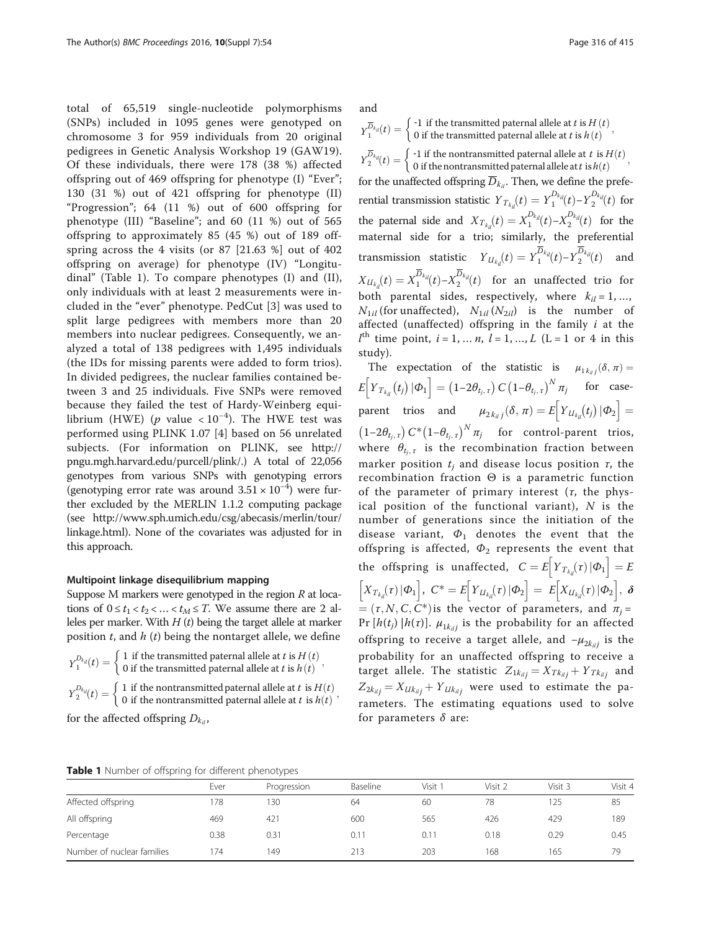total of 65,519 single-nucleotide polymorphisms (SNPs) included in 1095 genes were genotyped on chromosome 3 for 959 individuals from 20 original pedigrees in Genetic Analysis Workshop 19 (GAW19). Of these individuals, there were 178 (38 %) affected offspring out of 469 offspring for phenotype (I) "Ever"; 130 (31 %) out of 421 offspring for phenotype (II) "Progression"; 64 (11 %) out of 600 offspring for phenotype (III) "Baseline"; and 60 (11 %) out of 565 offspring to approximately 85 (45 %) out of 189 offspring across the 4 visits (or 87 [21.63 %] out of 402 offspring on average) for phenotype (IV) "Longitudinal" (Table 1). To compare phenotypes (I) and (II), only individuals with at least 2 measurements were included in the "ever" phenotype. PedCut [[3](#page-5-0)] was used to split large pedigrees with members more than 20 members into nuclear pedigrees. Consequently, we analyzed a total of 138 pedigrees with 1,495 individuals (the IDs for missing parents were added to form trios). In divided pedigrees, the nuclear families contained between 3 and 25 individuals. Five SNPs were removed because they failed the test of Hardy-Weinberg equilibrium (HWE) (p value <  $10^{-4}$ ). The HWE test was performed using PLINK 1.07 [\[4](#page-5-0)] based on 56 unrelated subjects. (For information on PLINK, see [http://](http://pngu.mgh.harvard.edu/purcell/plink/) [pngu.mgh.harvard.edu/purcell/plink/.](http://pngu.mgh.harvard.edu/purcell/plink/)) A total of 22,056 genotypes from various SNPs with genotyping errors (genotyping error rate was around  $3.51 \times 10^{-4}$ ) were further excluded by the MERLIN 1.1.2 computing package (see [http://www.sph.umich.edu/csg/abecasis/merlin/tour/](http://www.sph.umich.edu/csg/abecasis/merlin/tour/linkage.html) [linkage.html\)](http://www.sph.umich.edu/csg/abecasis/merlin/tour/linkage.html). None of the covariates was adjusted for in this approach.

#### Multipoint linkage disequilibrium mapping

Suppose M markers were genotyped in the region  *at loca*tions of  $0 \le t_1 < t_2 < ... < t_M \le T$ . We assume there are 2 alleles per marker. With  $H(t)$  being the target allele at marker position  $t$ , and  $h(t)$  being the nontarget allele, we define

$$
Y_1^{D_{k_{il}}}(t) = \begin{cases} 1 \text{ if the transmitted potential allele at } t \text{ is } H(t) \\ 0 \text{ if the transmitted patternal allele at } t \text{ is } h(t) \end{cases},
$$

 $Y_2^{D_{k_{dl}}}(t) = \begin{cases} 1 \text{ if the nontransmitted potential allele at } t \text{ is } H(t) \ 0 \text{ if the nontransmitted patternal allele at } t \text{ is } h(t) \end{cases},$ 

for the affected offspring  $D_{k_{il}}$ ,

and

 $\gamma_{1}^{\overline{D}_{k_{il}}}(t)=\left\{ \begin{array}{ll} \hbox{-}1 \text{ if the transmitted potential allele at $t$ is $H(t)$} \\ 0 \text{ if the transmitted patternal allele at $t$ is $h(t)$} \end{array}, \right.$  $Y_2^{\overline{D}_{k}}u(t) = \begin{cases} -1 \text{ if the nontransmitted potential allele at } t \text{ is } H(t) \ 0 \text{ if the nontransmitted potential allele at } t \text{ is } h(t) \end{cases}$ for the unaffected offspring  $\overline{D}_{k,j}$ . Then, we define the preferential transmission statistic  $Y_{T_{k_i}}(t) = Y_1^{D_{k_i}}(t) - Y_2^{D_{k_i}}(t)$  for the paternal side and  $X_{T_{k_i}}(t) = X_1^{D_{k_{i l}}}(t) - X_2^{D_{k_{i l}}}(t)$  for the maternal side for a trio; similarly, the preferential transmission statistic  $Y_{U_{k}}(t) = Y_1^{D_{k}}(t) - Y_2^{D_{k}}(t)$  and  $X_{U_{k_{il}}}(t) = X_1^{D_{k_{il}}}(t) - X_2^{D_{k_{il}}}(t)$  for an unaffected trio for both parental sides, respectively, where  $k_{il} = 1, ...,$  $N_{1il}$  (for unaffected),  $N_{1il}$   $(N_{2il})$  is the number of affected (unaffected) offspring in the family  $i$  at the  $l^{\text{th}}$  time point,  $i = 1, ..., n$ ,  $l = 1, ..., L$  (L = 1 or 4 in this study).

The expectation of the statistic is  $\mu_{1 k i i}(\delta, \pi) =$  $E\Big[{\cal Y}_{T_{k_{il}}}\big(t_{j}\big)\,|\varPhi_{1}\Big]=\big(1{-}2\theta_{t_{j},\,r}\big)\,C\,\big(1{-}\theta_{t_{j},\,r}\big)^{N}\,\pi_{j} \hspace{15pt}\text{for case-}$ parent trios and  $\mu_{2 k_{il} j}(\delta, \pi) = E \Big[ Y_{U_{k_{il}}}(t_j) \, | \Phi_2 \Big] =$  $(1-2\theta_{t_j,\tau}) C^* (1-\theta_{t_j,\tau})^N \pi_j$  for control-parent trios, where  $\theta_{t_i, \tau}$  is the recombination fraction between marker position  $t_i$  and disease locus position  $\tau$ , the recombination fraction Θ is a parametric function of the parameter of primary interest  $(\tau)$ , the physical position of the functional variant),  $N$  is the number of generations since the initiation of the disease variant,  $\Phi_1$  denotes the event that the offspring is affected,  $\Phi_2$  represents the event that the offspring is unaffected,  $C = E \Big[ Y_{T_{k_l}}(\tau) | \Phi_1 \Big] = E$  $\left[X_{T_{k_{il}}}(\tau)|\Phi_{1}\right], \ C^{*}=E\Big[Y_{U_{k_{il}}}(\tau)|\Phi_{2}\Big] = E\Big[X_{U_{k_{il}}}(\tau)|\Phi_{2}\Big], \ \boldsymbol{\delta}$  $=(\tau, N, C, C^*)$  is the vector of parameters, and  $\pi_j =$ Pr  $[h(t_j) | h(\tau)]$ .  $\mu_{1k_{il}}$  is the probability for an affected offspring to receive a target allele, and  $-\mu_{2k_{j}}$  is the probability for an unaffected offspring to receive a target allele. The statistic  $Z_{1k_{ilj}} = X_{Tk_{ilj}} + Y_{Tk_{ilj}}$  and  $Z_{2k_{ilj}} = X_{Uk_{ilj}} + Y_{Uk_{ilj}}$  were used to estimate the parameters. The estimating equations used to solve for parameters  $\delta$  are:

Table 1 Number of offspring for different phenotypes

|                            | Ever | Progression | Baseline      | Visit 1 | Visit 2 | Visit 3 | Visit 4 |
|----------------------------|------|-------------|---------------|---------|---------|---------|---------|
| Affected offspring         | 78   | 130         | 64            | 60      | 78      | 125     | 85      |
| All offspring              | 469  | 421         | 600           | 565     | 426     | 429     | 189     |
| Percentage                 | 0.38 | 0.31        | $0.1^{\circ}$ | 0.11    | 0.18    | 0.29    | 0.45    |
| Number of nuclear families | 74   | 149         | 213           | 203     | 168     | 165     | 79      |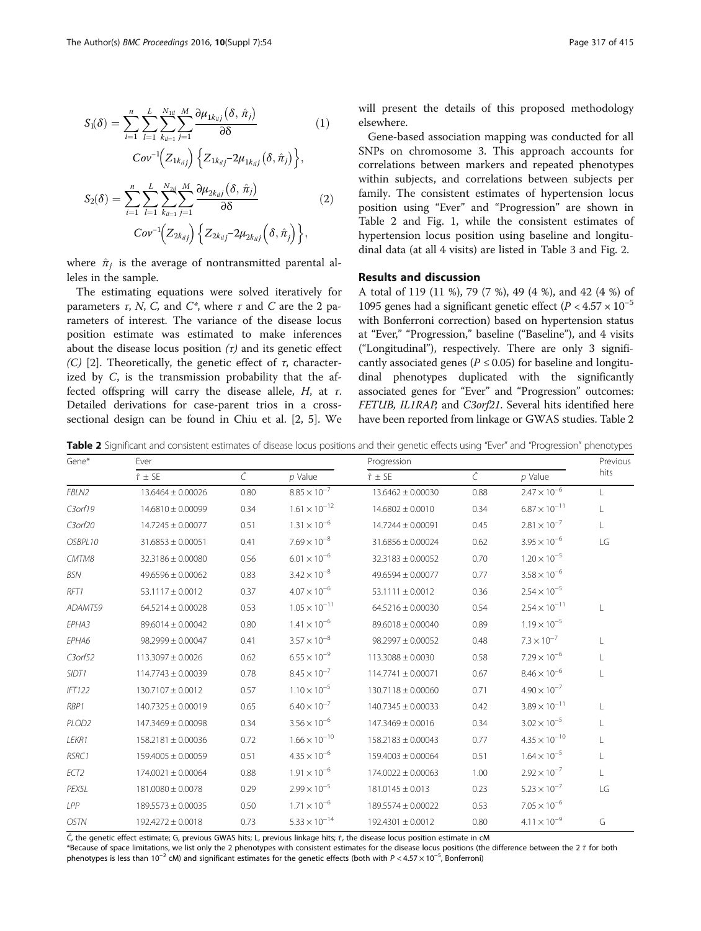<span id="page-2-0"></span>
$$
S_{1}(\delta) = \sum_{i=1}^{n} \sum_{l=1}^{L} \sum_{k_{il}=1}^{N_{1il}} \sum_{j=1}^{M} \frac{\partial \mu_{1k_{il}j}(\delta, \hat{\pi}_{j})}{\partial \delta}
$$
(1)  

$$
Cov^{-1}(Z_{1k_{il}j}) \{Z_{1k_{il}j} - 2\mu_{1k_{il}j}(\delta, \hat{\pi}_{j})\},
$$

$$
S_2(\delta) = \sum_{i=1}^n \sum_{l=1}^L \sum_{k_{il=1}}^{N_{2il}} \sum_{j=1}^M \frac{\partial \mu_{2k_{il}j}(\delta, \hat{\pi}_j)}{\partial \delta} \qquad (2)
$$

$$
Cov^{-1}(Z_{2k_{il}j}) \{Z_{2k_{il}j} - 2\mu_{2k_{il}j}(\delta, \hat{\pi}_j) \},
$$

where  $\hat{\pi}_i$  is the average of nontransmitted parental alleles in the sample.

The estimating equations were solved iteratively for parameters  $\tau$ , N, C, and C\*, where  $\tau$  and C are the 2 parameters of interest. The variance of the disease locus position estimate was estimated to make inferences about the disease locus position  $(\tau)$  and its genetic effect (C) [[2](#page-5-0)]. Theoretically, the genetic effect of  $\tau$ , characterized by C, is the transmission probability that the affected offspring will carry the disease allele,  $H$ , at  $\tau$ . Detailed derivations for case-parent trios in a crosssectional design can be found in Chiu et al. [[2, 5\]](#page-5-0). We will present the details of this proposed methodology elsewhere.

Gene-based association mapping was conducted for all SNPs on chromosome 3. This approach accounts for correlations between markers and repeated phenotypes within subjects, and correlations between subjects per family. The consistent estimates of hypertension locus position using "Ever" and "Progression" are shown in Table 2 and Fig. [1,](#page-3-0) while the consistent estimates of hypertension locus position using baseline and longitudinal data (at all 4 visits) are listed in Table [3](#page-3-0) and Fig. [2.](#page-4-0)

## Results and discussion

A total of 119 (11 %), 79 (7 %), 49 (4 %), and 42 (4 %) of 1095 genes had a significant genetic effect ( $P < 4.57 \times 10^{-5}$ with Bonferroni correction) based on hypertension status at "Ever," "Progression," baseline ("Baseline"), and 4 visits ("Longitudinal"), respectively. There are only 3 significantly associated genes ( $P \le 0.05$ ) for baseline and longitudinal phenotypes duplicated with the significantly associated genes for "Ever" and "Progression" outcomes: FETUB, IL1RAP, and C3orf21. Several hits identified here have been reported from linkage or GWAS studies. Table 2

Table 2 Significant and consistent estimates of disease locus positions and their genetic effects using "Ever" and "Progression" phenotypes

| Gene*             | Ever                   |      |                        | Progression                |      |                        | Previous |  |
|-------------------|------------------------|------|------------------------|----------------------------|------|------------------------|----------|--|
|                   | $\hat{\tau} \pm S E$   | Ĉ    | $p$ Value              | $\hat{\tau} \pm \text{SE}$ | Ĉ    | $p$ Value              | hits     |  |
| FBLN2             | $13.6464 \pm 0.00026$  | 0.80 | $8.85\times10^{-7}$    | $13.6462 \pm 0.00030$      | 0.88 | $2.47 \times 10^{-6}$  | L        |  |
| C3orf19           | $14.6810 \pm 0.00099$  | 0.34 | $1.61 \times 10^{-12}$ | $14.6802 \pm 0.0010$       | 0.34 | $6.87 \times 10^{-11}$ | L        |  |
| C3orf20           | $14.7245 \pm 0.00077$  | 0.51 | $1.31 \times 10^{-6}$  | $14.7244 \pm 0.00091$      | 0.45 | $2.81 \times 10^{-7}$  | L        |  |
| OSBPL10           | $31.6853 \pm 0.00051$  | 0.41 | $7.69 \times 10^{-8}$  | $31.6856 \pm 0.00024$      | 0.62 | $3.95 \times 10^{-6}$  | LG       |  |
| CMTM8             | 32.3186 ± 0.00080      | 0.56 | $6.01 \times 10^{-6}$  | $32.3183 + 0.00052$        | 0.70 | $1.20 \times 10^{-5}$  |          |  |
| <b>BSN</b>        | $49.6596 \pm 0.00062$  | 0.83 | $3.42 \times 10^{-8}$  | 49.6594 ± 0.00077          | 0.77 | $3.58 \times 10^{-6}$  |          |  |
| RFT1              | $53.1117 \pm 0.0012$   | 0.37 | $4.07 \times 10^{-6}$  | $53.1111 \pm 0.0012$       | 0.36 | $2.54 \times 10^{-5}$  |          |  |
| ADAMTS9           | $64.5214 \pm 0.00028$  | 0.53 | $1.05 \times 10^{-11}$ | $64.5216 \pm 0.00030$      | 0.54 | $2.54 \times 10^{-11}$ | L        |  |
| EPHA3             | 89.6014 ± 0.00042      | 0.80 | $1.41 \times 10^{-6}$  | $89.6018 \pm 0.00040$      | 0.89 | $1.19 \times 10^{-5}$  |          |  |
| EPHA6             | $98.2999 \pm 0.00047$  | 0.41 | $3.57 \times 10^{-8}$  | $98.2997 \pm 0.00052$      | 0.48 | $7.3 \times 10^{-7}$   | L        |  |
| C3orf52           | 113.3097 ± 0.0026      | 0.62 | $6.55 \times 10^{-9}$  | $113.3088 \pm 0.0030$      | 0.58 | $7.29 \times 10^{-6}$  | L        |  |
| SIDT1             | $114.7743 \pm 0.00039$ | 0.78 | $8.45 \times 10^{-7}$  | $114.7741 \pm 0.00071$     | 0.67 | $8.46 \times 10^{-6}$  | L        |  |
| <b>IFT122</b>     | $130.7107 \pm 0.0012$  | 0.57 | $1.10 \times 10^{-5}$  | $130.7118 \pm 0.00060$     | 0.71 | $4.90 \times 10^{-7}$  |          |  |
| RBP1              | 140.7325 ± 0.00019     | 0.65 | $6.40 \times 10^{-7}$  | 140.7345 ± 0.00033         | 0.42 | $3.89 \times 10^{-11}$ | L        |  |
| PLOD <sub>2</sub> | 147.3469 ± 0.00098     | 0.34 | $3.56 \times 10^{-6}$  | 147.3469 ± 0.0016          | 0.34 | $3.02 \times 10^{-5}$  | L        |  |
| LEKR1             | 158.2181 ± 0.00036     | 0.72 | $1.66 \times 10^{-10}$ | $158.2183 \pm 0.00043$     | 0.77 | $4.35 \times 10^{-10}$ | L        |  |
| RSRC1             | 159,4005 ± 0.00059     | 0.51 | $4.35 \times 10^{-6}$  | 159,4003 ± 0.00064         | 0.51 | $1.64 \times 10^{-5}$  | L        |  |
| ECT <sub>2</sub>  | $174.0021 \pm 0.00064$ | 0.88 | $1.91 \times 10^{-6}$  | 174,0022 ± 0.00063         | 1.00 | $2.92 \times 10^{-7}$  | L        |  |
| PEX5L             | $181.0080 \pm 0.0078$  | 0.29 | $2.99 \times 10^{-5}$  | $181.0145 \pm 0.013$       | 0.23 | $5.23 \times 10^{-7}$  | LG       |  |
| LPP               | $189.5573 \pm 0.00035$ | 0.50 | $1.71 \times 10^{-6}$  | 189.5574 ± 0.00022         | 0.53 | $7.05 \times 10^{-6}$  |          |  |
| <b>OSTN</b>       | $192.4272 \pm 0.0018$  | 0.73 | $5.33 \times 10^{-14}$ | $192.4301 \pm 0.0012$      | 0.80 | $4.11 \times 10^{-9}$  | G        |  |

 $\hat{C}$ , the genetic effect estimate; G, previous GWAS hits; L, previous linkage hits;  $\hat{\tau}$ , the disease locus position estimate in cM

\*Because of space limitations, we list only the 2 phenotypes with consistent estimates for the disease locus positions (the difference between the 2  $\hat{\tau}$  for both phenotypes is less than 10<sup>-2</sup> cM) and significant estimates for the genetic effects (both with  $P < 4.57 \times 10^{-5}$ , Bonferroni)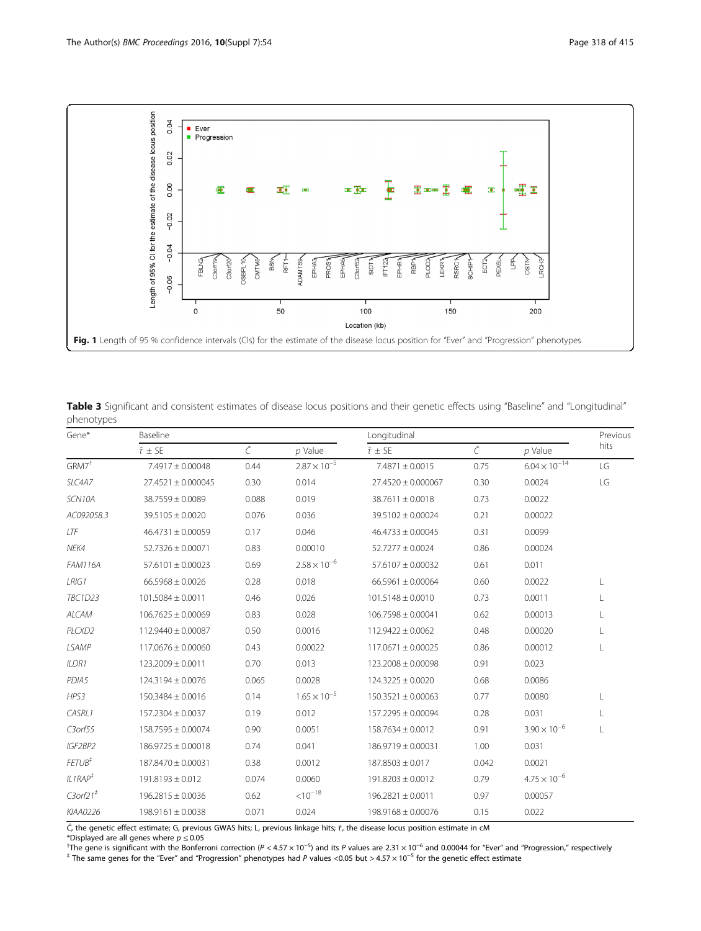<span id="page-3-0"></span>

Table 3 Significant and consistent estimates of disease locus positions and their genetic effects using "Baseline" and "Longitudinal" phenotypes

| Gene*               | Baseline               |       |                       | Longitudinal           |       |                        | Previous      |
|---------------------|------------------------|-------|-----------------------|------------------------|-------|------------------------|---------------|
|                     | $\hat{\tau} \pm S E$   | Ĉ     | $p$ Value             | $\hat{\tau} \pm S E$   | Ĉ     | $p$ Value              | hits          |
| GRM7 <sup>†</sup>   | $7.4917 \pm 0.00048$   | 0.44  | $2.87\times10^{-5}$   | $7.4871 \pm 0.0015$    | 0.75  | $6.04 \times 10^{-14}$ | LG            |
| SLC4A7              | $27.4521 \pm 0.000045$ | 0.30  | 0.014                 | $27.4520 \pm 0.000067$ | 0.30  | 0.0024                 | $\mathsf{LG}$ |
| SCN10A              | $38.7559 \pm 0.0089$   | 0.088 | 0.019                 | $38.7611 \pm 0.0018$   | 0.73  | 0.0022                 |               |
| AC092058.3          | $39.5105 \pm 0.0020$   | 0.076 | 0.036                 | 39.5102 ± 0.00024      | 0.21  | 0.00022                |               |
| LTF                 | $46.4731 \pm 0.00059$  | 0.17  | 0.046                 | $46.4733 \pm 0.00045$  | 0.31  | 0.0099                 |               |
| NEK4                | $52.7326 \pm 0.00071$  | 0.83  | 0.00010               | $52.7277 \pm 0.0024$   | 0.86  | 0.00024                |               |
| <b>FAM116A</b>      | $57.6101 \pm 0.00023$  | 0.69  | $2.58 \times 10^{-6}$ | $57.6107 \pm 0.00032$  | 0.61  | 0.011                  |               |
| LRIG1               | $66.5968 \pm 0.0026$   | 0.28  | 0.018                 | 66.5961 $\pm$ 0.00064  | 0.60  | 0.0022                 | L             |
| <b>TBC1D23</b>      | $101.5084 \pm 0.0011$  | 0.46  | 0.026                 | $101.5148 \pm 0.0010$  | 0.73  | 0.0011                 | L             |
| <b>ALCAM</b>        | $106.7625 \pm 0.00069$ | 0.83  | 0.028                 | $106.7598 \pm 0.00041$ | 0.62  | 0.00013                |               |
| PLCXD2              | 112.9440 ± 0.00087     | 0.50  | 0.0016                | $112.9422 \pm 0.0062$  | 0.48  | 0.00020                | L             |
| <b>LSAMP</b>        | $117.0676 \pm 0.00060$ | 0.43  | 0.00022               | $117.0671 \pm 0.00025$ | 0.86  | 0.00012                | L             |
| ILDR1               | $123.2009 \pm 0.0011$  | 0.70  | 0.013                 | $123.2008 \pm 0.00098$ | 0.91  | 0.023                  |               |
| PDIA5               | 124.3194 ± 0.0076      | 0.065 | 0.0028                | $124.3225 \pm 0.0020$  | 0.68  | 0.0086                 |               |
| HPS3                | $150.3484 \pm 0.0016$  | 0.14  | $1.65 \times 10^{-5}$ | $150.3521 \pm 0.00063$ | 0.77  | 0.0080                 |               |
| CASRL1              | 157.2304 ± 0.0037      | 0.19  | 0.012                 | 157.2295 ± 0.00094     | 0.28  | 0.031                  | L             |
| C3orf55             | 158.7595 ± 0.00074     | 0.90  | 0.0051                | $158.7634 \pm 0.0012$  | 0.91  | $3.90 \times 10^{-6}$  | L             |
| IGF2BP2             | $186.9725 \pm 0.00018$ | 0.74  | 0.041                 | 186.9719 ± 0.00031     | 1.00  | 0.031                  |               |
| FETUB <sup>#</sup>  | 187.8470 ± 0.00031     | 0.38  | 0.0012                | $187.8503 \pm 0.017$   | 0.042 | 0.0021                 |               |
| ILIRAP <sup>‡</sup> | $191.8193 \pm 0.012$   | 0.074 | 0.0060                | $191.8203 \pm 0.0012$  | 0.79  | $4.75 \times 10^{-6}$  |               |
| $C3$ orf $21‡$      | $196.2815 \pm 0.0036$  | 0.62  | $< 10^{-18}$          | $196.2821 \pm 0.0011$  | 0.97  | 0.00057                |               |
| KIAA0226            | $198.9161 \pm 0.0038$  | 0.071 | 0.024                 | $198.9168 \pm 0.00076$ | 0.15  | 0.022                  |               |

 $\hat{C}$ , the genetic effect estimate; G, previous GWAS hits; L, previous linkage hits;  $\hat{\tau}$ , the disease locus position estimate in cM

\*Displayed are all genes where  $p \le 0.05$ 

<sup>†</sup>The gene is significant with the Bonferroni correction (P < 4.57 × 10<sup>-5</sup>) and its P values are 2.31 × 10<sup>-6</sup> and 0.00044 for "Ever" and "Progression," respectively<br><sup>‡</sup> The same genes for the "Ever" and "Progression" ph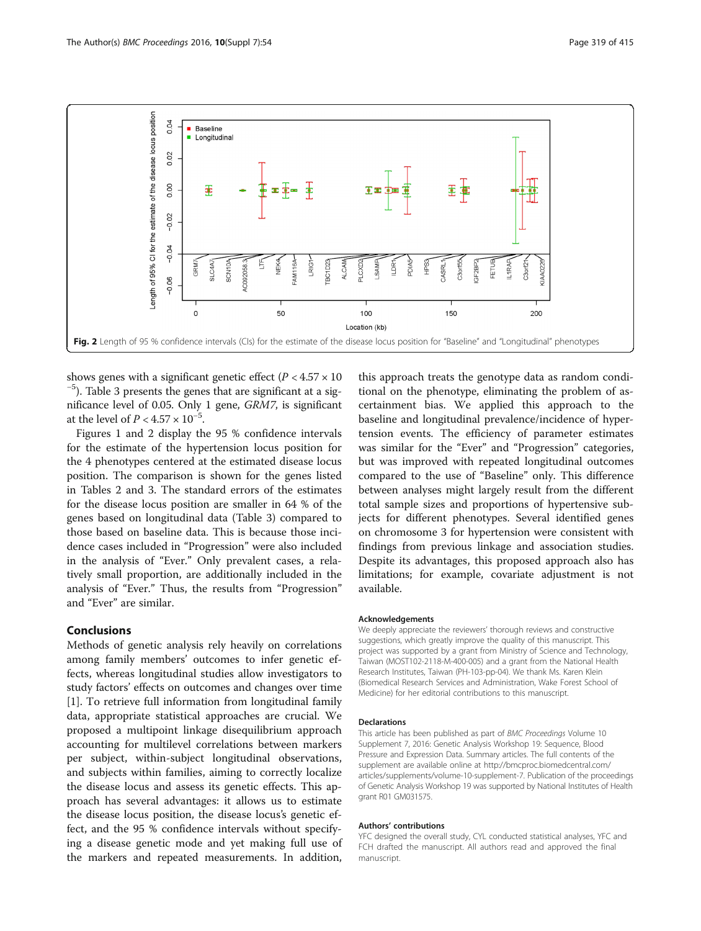<span id="page-4-0"></span>

shows genes with a significant genetic effect ( $P < 4.57 \times 10$  $-5$ ). Table [3](#page-3-0) presents the genes that are significant at a significance level of 0.05. Only 1 gene, GRM7, is significant at the level of  $P < 4.57 \times 10^{-5}$ .

Figures [1](#page-3-0) and 2 display the 95 % confidence intervals for the estimate of the hypertension locus position for the 4 phenotypes centered at the estimated disease locus position. The comparison is shown for the genes listed in Tables [2](#page-2-0) and [3.](#page-3-0) The standard errors of the estimates for the disease locus position are smaller in 64 % of the genes based on longitudinal data (Table [3](#page-3-0)) compared to those based on baseline data. This is because those incidence cases included in "Progression" were also included in the analysis of "Ever." Only prevalent cases, a relatively small proportion, are additionally included in the analysis of "Ever." Thus, the results from "Progression" and "Ever" are similar.

## Conclusions

Methods of genetic analysis rely heavily on correlations among family members' outcomes to infer genetic effects, whereas longitudinal studies allow investigators to study factors' effects on outcomes and changes over time [[1\]](#page-5-0). To retrieve full information from longitudinal family data, appropriate statistical approaches are crucial. We proposed a multipoint linkage disequilibrium approach accounting for multilevel correlations between markers per subject, within-subject longitudinal observations, and subjects within families, aiming to correctly localize the disease locus and assess its genetic effects. This approach has several advantages: it allows us to estimate the disease locus position, the disease locus's genetic effect, and the 95 % confidence intervals without specifying a disease genetic mode and yet making full use of the markers and repeated measurements. In addition,

this approach treats the genotype data as random conditional on the phenotype, eliminating the problem of ascertainment bias. We applied this approach to the baseline and longitudinal prevalence/incidence of hypertension events. The efficiency of parameter estimates was similar for the "Ever" and "Progression" categories, but was improved with repeated longitudinal outcomes compared to the use of "Baseline" only. This difference between analyses might largely result from the different total sample sizes and proportions of hypertensive subjects for different phenotypes. Several identified genes on chromosome 3 for hypertension were consistent with findings from previous linkage and association studies. Despite its advantages, this proposed approach also has limitations; for example, covariate adjustment is not available.

#### Acknowledgements

We deeply appreciate the reviewers' thorough reviews and constructive suggestions, which greatly improve the quality of this manuscript. This project was supported by a grant from Ministry of Science and Technology, Taiwan (MOST102-2118-M-400-005) and a grant from the National Health Research Institutes, Taiwan (PH-103-pp-04). We thank Ms. Karen Klein (Biomedical Research Services and Administration, Wake Forest School of Medicine) for her editorial contributions to this manuscript.

#### Declarations

This article has been published as part of BMC Proceedings Volume 10 Supplement 7, 2016: Genetic Analysis Workshop 19: Sequence, Blood Pressure and Expression Data. Summary articles. The full contents of the supplement are available online at [http://bmcproc.biomedcentral.com/](http://bmcproc.biomedcentral.com/articles/supplements/volume-10-supplement-7) [articles/supplements/volume-10-supplement-7.](http://bmcproc.biomedcentral.com/articles/supplements/volume-10-supplement-7) Publication of the proceedings of Genetic Analysis Workshop 19 was supported by National Institutes of Health grant R01 GM031575.

#### Authors' contributions

YFC designed the overall study, CYL conducted statistical analyses, YFC and FCH drafted the manuscript. All authors read and approved the final manuscript.